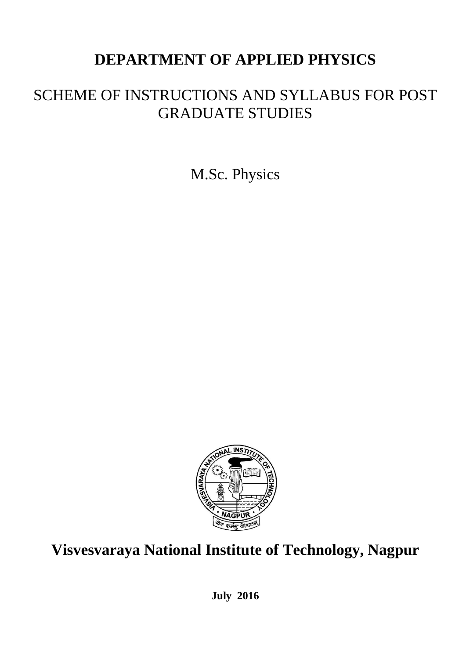# **DEPARTMENT OF APPLIED PHYSICS**

# SCHEME OF INSTRUCTIONS AND SYLLABUS FOR POST GRADUATE STUDIES

M.Sc. Physics



# **Visvesvaraya National Institute of Technology, Nagpur**

**July 2016**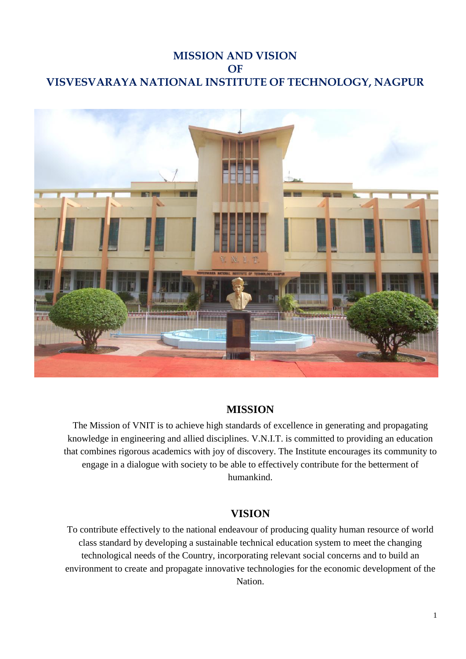## **MISSION AND VISION OF VISVESVARAYA NATIONAL INSTITUTE OF TECHNOLOGY, NAGPUR**



#### **MISSION**

The Mission of VNIT is to achieve high standards of excellence in generating and propagating knowledge in engineering and allied disciplines. V.N.I.T. is committed to providing an education that combines rigorous academics with joy of discovery. The Institute encourages its community to engage in a dialogue with society to be able to effectively contribute for the betterment of humankind.

#### **VISION**

To contribute effectively to the national endeavour of producing quality human resource of world class standard by developing a sustainable technical education system to meet the changing technological needs of the Country, incorporating relevant social concerns and to build an environment to create and propagate innovative technologies for the economic development of the Nation.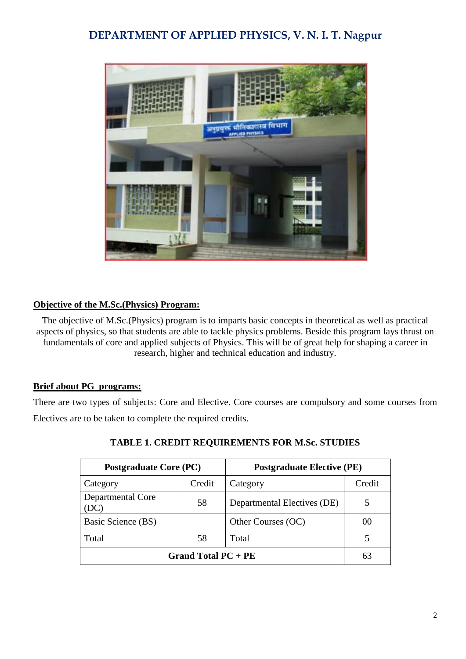## **DEPARTMENT OF APPLIED PHYSICS, V. N. I. T. Nagpur**



#### **Objective of the M.Sc.(Physics) Program:**

The objective of M.Sc.(Physics) program is to imparts basic concepts in theoretical as well as practical aspects of physics, so that students are able to tackle physics problems. Beside this program lays thrust on fundamentals of core and applied subjects of Physics. This will be of great help for shaping a career in research, higher and technical education and industry.

#### **Brief about PG programs:**

There are two types of subjects: Core and Elective. Core courses are compulsory and some courses from Electives are to be taken to complete the required credits.

| <b>Postgraduate Core (PC)</b> |        | <b>Postgraduate Elective (PE)</b> |        |  |
|-------------------------------|--------|-----------------------------------|--------|--|
| Category                      | Credit | Category                          | Credit |  |
| Departmental Core<br>(DC)     | 58     | Departmental Electives (DE)       |        |  |
| Basic Science (BS)            |        | Other Courses (OC)                | ()()   |  |
| Total                         | 58     | Total                             |        |  |
| Grand Total $PC + PE$         |        |                                   |        |  |

#### **TABLE 1. CREDIT REQUIREMENTS FOR M.Sc. STUDIES**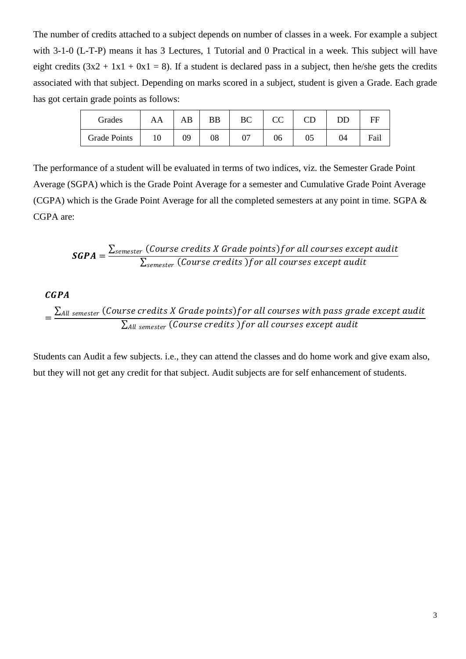The number of credits attached to a subject depends on number of classes in a week. For example a subject with 3-1-0 (L-T-P) means it has 3 Lectures, 1 Tutorial and 0 Practical in a week. This subject will have eight credits  $(3x^2 + 1x^2 + 0x^2) = 8$ . If a student is declared pass in a subject, then he/she gets the credits associated with that subject. Depending on marks scored in a subject, student is given a Grade. Each grade has got certain grade points as follows:

| Grades              | AA | AB | BB | BC | <sub>CC</sub> |    | DD | FF   |
|---------------------|----|----|----|----|---------------|----|----|------|
| <b>Grade Points</b> | 10 | 09 | 08 |    | 06            | 05 | 04 | Fail |

The performance of a student will be evaluated in terms of two indices, viz. the Semester Grade Point Average (SGPA) which is the Grade Point Average for a semester and Cumulative Grade Point Average (CGPA) which is the Grade Point Average for all the completed semesters at any point in time. SGPA & CGPA are:

$$
\textit{SGPA} = \frac{\sum_{semester}{(Course\,rcedits\,X\,Grade\,points)} for\,all\,course\,except\,audit}{\sum_{semester}{(Course\,credits\,)} for\,all\, courses\,except\,audit}
$$

#### $CGPA$

$$
= \frac{\sum_{All \, semester} \, (Course \, credits \, X \, Grade \, points) for \, all \, courses \, with \, pass \, grade \, except \, audit}{\sum_{All \, semester} \, (Course \, credits \,) for \, all \, courses \, except \, audit}
$$

Students can Audit a few subjects. i.e., they can attend the classes and do home work and give exam also, but they will not get any credit for that subject. Audit subjects are for self enhancement of students.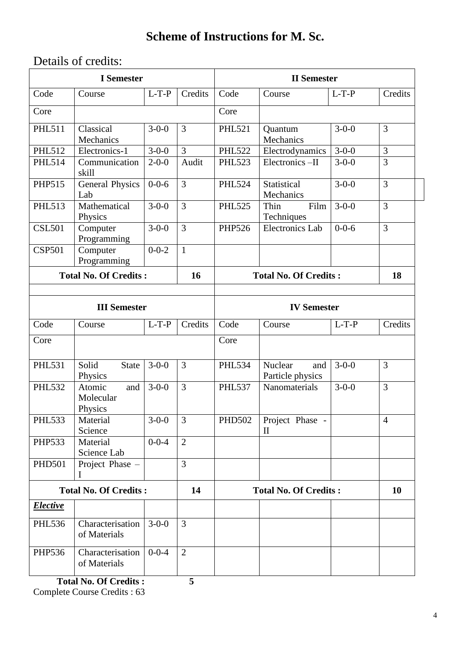## **Scheme of Instructions for M. Sc.**

## Details of credits:

| <b>I</b> Semester                  |                                       |             | <b>II</b> Semester           |                              |                                                    |             |                |
|------------------------------------|---------------------------------------|-------------|------------------------------|------------------------------|----------------------------------------------------|-------------|----------------|
| Code                               | Course                                | $L-T-P$     | Credits                      | Code                         | Course                                             | $L-T-P$     | Credits        |
| Core                               |                                       |             |                              | Core                         |                                                    |             |                |
| <b>PHL511</b>                      | Classical<br>Mechanics                | $3 - 0 - 0$ | 3                            | <b>PHL521</b>                | Quantum<br>Mechanics                               | $3 - 0 - 0$ | 3              |
| <b>PHL512</b>                      | Electronics-1                         | $3 - 0 - 0$ | 3                            | <b>PHL522</b>                | Electrodynamics                                    | $3 - 0 - 0$ | 3              |
| <b>PHL514</b>                      | Communication<br>skill                | $2 - 0 - 0$ | Audit                        | <b>PHL523</b>                | Electronics-II                                     | $3-0-0$     | 3              |
| PHP515                             | <b>General Physics</b><br>Lab         | $0 - 0 - 6$ | $\overline{3}$               | <b>PHL524</b>                | Statistical<br>$3 - 0 - 0$<br>Mechanics            |             | $\overline{3}$ |
| <b>PHL513</b>                      | Mathematical<br>Physics               | $3 - 0 - 0$ | 3                            | <b>PHL525</b>                | Thin<br>Film<br>Techniques                         | $3 - 0 - 0$ | $\overline{3}$ |
| <b>CSL501</b>                      | Computer<br>Programming               | $3 - 0 - 0$ | 3                            | <b>PHP526</b>                | <b>Electronics Lab</b>                             | $0 - 0 - 6$ | $\overline{3}$ |
| <b>CSP501</b>                      | Computer<br>Programming               | $0 - 0 - 2$ | $\mathbf{1}$                 |                              |                                                    |             |                |
| <b>Total No. Of Credits:</b>       |                                       |             | 16                           | <b>Total No. Of Credits:</b> |                                                    |             | 18             |
|                                    |                                       |             |                              |                              |                                                    |             |                |
| <b>III</b> Semester                |                                       |             | <b>IV Semester</b>           |                              |                                                    |             |                |
| Code                               | Course                                | $L-T-P$     | Credits                      | Code                         | Course                                             | $L-T-P$     | Credits        |
| Core                               |                                       |             |                              | Core                         |                                                    |             |                |
| <b>PHL531</b>                      | Solid<br><b>State</b><br>Physics      | $3 - 0 - 0$ | 3                            | <b>PHL534</b>                | Nuclear<br>and<br>Particle physics                 | $3 - 0 - 0$ | 3              |
| <b>PHL532</b>                      | Atomic<br>and<br>Molecular<br>Physics | $3 - 0 - 0$ | 3                            | <b>PHL537</b>                | Nanomaterials                                      | $3-0-0$     | 3              |
| <b>PHL533</b>                      | Material<br>Science                   | $3 - 0 - 0$ | $\overline{3}$               | <b>PHD502</b>                | Project Phase -<br>$\mathop{\mathrm{II}}\nolimits$ |             | $\overline{4}$ |
| <b>PHP533</b>                      | Material<br>Science Lab               | $0 - 0 - 4$ | $\overline{2}$               |                              |                                                    |             |                |
| <b>PHD501</b>                      | Project Phase -                       |             | 3                            |                              |                                                    |             |                |
| <b>Total No. Of Credits:</b><br>14 |                                       |             | <b>Total No. Of Credits:</b> |                              |                                                    | 10          |                |
| <b>Elective</b>                    |                                       |             |                              |                              |                                                    |             |                |
| <b>PHL536</b>                      | Characterisation<br>of Materials      | $3 - 0 - 0$ | $\overline{3}$               |                              |                                                    |             |                |
| PHP536                             | Characterisation<br>of Materials      | $0 - 0 - 4$ | $\overline{2}$               |                              |                                                    |             |                |

 **Total No. Of Credits : 5**  Complete Course Credits : 63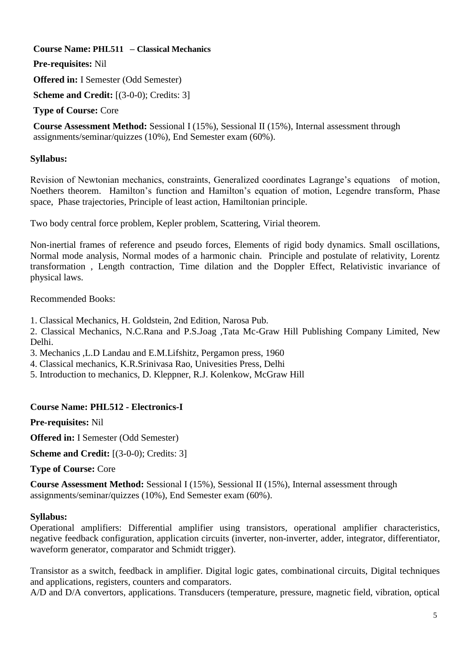**Course Name: PHL511 – Classical Mechanics** 

**Pre-requisites:** Nil

**Offered in:** I Semester (Odd Semester)

**Scheme and Credit:** [(3-0-0); Credits: 3]

#### **Type of Course:** Core

**Course Assessment Method:** Sessional I (15%), Sessional II (15%), Internal assessment through assignments/seminar/quizzes (10%), End Semester exam (60%).

#### **Syllabus:**

Revision of Newtonian mechanics, constraints, Generalized coordinates Lagrange's equations of motion, Noethers theorem. Hamilton's function and Hamilton's equation of motion, Legendre transform, Phase space, Phase trajectories, Principle of least action, Hamiltonian principle.

Two body central force problem, Kepler problem, Scattering, Virial theorem.

Non-inertial frames of reference and pseudo forces, Elements of rigid body dynamics. Small oscillations, Normal mode analysis, Normal modes of a harmonic chain. Principle and postulate of relativity, Lorentz transformation , Length contraction, Time dilation and the Doppler Effect, Relativistic invariance of physical laws.

Recommended Books:

1. Classical Mechanics, H. Goldstein, 2nd Edition, Narosa Pub.

2. Classical Mechanics, N.C.Rana and P.S.Joag ,Tata Mc-Graw Hill Publishing Company Limited, New Delhi.

3. Mechanics ,L.D Landau and E.M.Lifshitz, Pergamon press, 1960

4. Classical mechanics, K.R.Srinivasa Rao, Univesities Press, Delhi

5. Introduction to mechanics, D. Kleppner, R.J. Kolenkow, McGraw Hill

#### **Course Name: PHL512 - Electronics-I**

**Pre-requisites:** Nil

**Offered in:** I Semester (Odd Semester)

**Scheme and Credit:** [(3-0-0); Credits: 3]

**Type of Course:** Core

**Course Assessment Method:** Sessional I (15%), Sessional II (15%), Internal assessment through assignments/seminar/quizzes (10%), End Semester exam (60%).

#### **Syllabus:**

Operational amplifiers: Differential amplifier using transistors, operational amplifier characteristics, negative feedback configuration, application circuits (inverter, non-inverter, adder, integrator, differentiator, waveform generator, comparator and Schmidt trigger).

Transistor as a switch, feedback in amplifier. Digital logic gates, combinational circuits, Digital techniques and applications, registers, counters and comparators.

A/D and D/A convertors, applications. Transducers (temperature, pressure, magnetic field, vibration, optical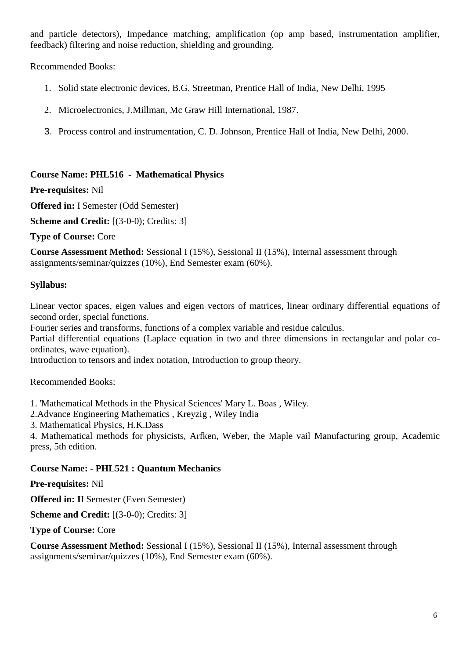and particle detectors), Impedance matching, amplification (op amp based, instrumentation amplifier, feedback) filtering and noise reduction, shielding and grounding.

Recommended Books:

- 1. Solid state electronic devices, B.G. Streetman, Prentice Hall of India, New Delhi, 1995
- 2. Microelectronics, J.Millman, Mc Graw Hill International, 1987.
- 3. Process control and instrumentation, C. D. Johnson, Prentice Hall of India, New Delhi, 2000.

#### **Course Name: PHL516 - Mathematical Physics**

#### **Pre-requisites:** Nil

**Offered in:** I Semester (Odd Semester)

**Scheme and Credit:** [(3-0-0); Credits: 3]

**Type of Course:** Core

**Course Assessment Method:** Sessional I (15%), Sessional II (15%), Internal assessment through assignments/seminar/quizzes (10%), End Semester exam (60%).

#### **Syllabus:**

Linear vector spaces, eigen values and eigen vectors of matrices, linear ordinary differential equations of second order, special functions.

Fourier series and transforms, functions of a complex variable and residue calculus.

Partial differential equations (Laplace equation in two and three dimensions in rectangular and polar coordinates, wave equation).

Introduction to tensors and index notation, Introduction to group theory.

Recommended Books:

1. 'Mathematical Methods in the Physical Sciences' Mary L. Boas , Wiley.

2.Advance Engineering Mathematics , Kreyzig , Wiley India

3. Mathematical Physics, H.K.Dass

4. Mathematical methods for physicists, Arfken, Weber, the Maple vail Manufacturing group, Academic press, 5th edition.

#### **Course Name: - PHL521 : Quantum Mechanics**

**Pre-requisites:** Nil

**Offered in: I**I Semester (Even Semester)

**Scheme and Credit:** [(3-0-0); Credits: 3]

**Type of Course:** Core

**Course Assessment Method:** Sessional I (15%), Sessional II (15%), Internal assessment through assignments/seminar/quizzes (10%), End Semester exam (60%).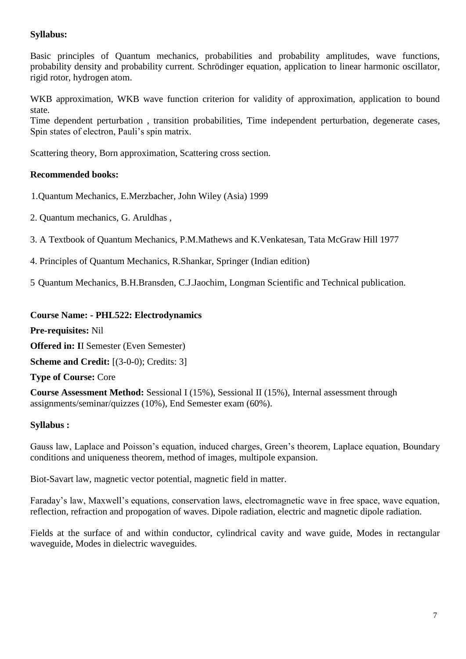#### **Syllabus:**

Basic principles of Quantum mechanics, probabilities and probability amplitudes, wave functions, probability density and probability current. Schrödinger equation, application to linear harmonic oscillator, rigid rotor, hydrogen atom.

WKB approximation, WKB wave function criterion for validity of approximation, application to bound state.

Time dependent perturbation , transition probabilities, Time independent perturbation, degenerate cases, Spin states of electron, Pauli's spin matrix.

Scattering theory, Born approximation, Scattering cross section.

#### **Recommended books:**

- 1.Quantum Mechanics, E.Merzbacher, John Wiley (Asia) 1999
- 2. Quantum mechanics, G. Aruldhas ,

3. A Textbook of Quantum Mechanics, P.M.Mathews and K.Venkatesan, Tata McGraw Hill 1977

- 4. Principles of Quantum Mechanics, R.Shankar, Springer (Indian edition)
- 5 Quantum Mechanics, B.H.Bransden, C.J.Jaochim, Longman Scientific and Technical publication.

#### **Course Name: - PHL522: Electrodynamics**

**Pre-requisites:** Nil

**Offered in: I**I Semester (Even Semester)

**Scheme and Credit:** [(3-0-0); Credits: 3]

#### **Type of Course:** Core

**Course Assessment Method:** Sessional I (15%), Sessional II (15%), Internal assessment through assignments/seminar/quizzes (10%), End Semester exam (60%).

#### **Syllabus :**

Gauss law, Laplace and Poisson's equation, induced charges, Green's theorem, Laplace equation, Boundary conditions and uniqueness theorem, method of images, multipole expansion.

Biot-Savart law, magnetic vector potential, magnetic field in matter.

Faraday's law, Maxwell's equations, conservation laws, electromagnetic wave in free space, wave equation, reflection, refraction and propogation of waves. Dipole radiation, electric and magnetic dipole radiation.

Fields at the surface of and within conductor, cylindrical cavity and wave guide, Modes in rectangular waveguide, Modes in dielectric waveguides.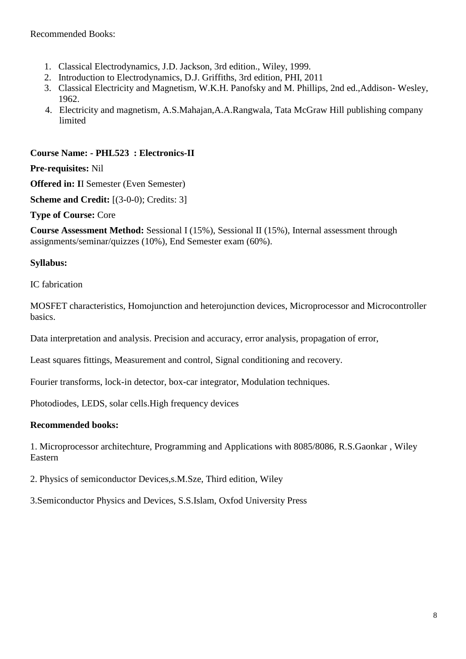Recommended Books:

- 1. Classical Electrodynamics, J.D. Jackson, 3rd edition., Wiley, 1999.
- 2. Introduction to Electrodynamics, D.J. Griffiths, 3rd edition, PHI, 2011
- 3. Classical Electricity and Magnetism, W.K.H. Panofsky and M. Phillips, 2nd ed.,Addison- Wesley, 1962.
- 4. Electricity and magnetism, A.S.Mahajan,A.A.Rangwala, Tata McGraw Hill publishing company limited

#### **Course Name: - PHL523 : Electronics-II**

**Pre-requisites:** Nil

**Offered in: I**I Semester (Even Semester)

**Scheme and Credit:** [(3-0-0); Credits: 3]

**Type of Course:** Core

**Course Assessment Method:** Sessional I (15%), Sessional II (15%), Internal assessment through assignments/seminar/quizzes (10%), End Semester exam (60%).

#### **Syllabus:**

IC fabrication

MOSFET characteristics, Homojunction and heterojunction devices, Microprocessor and Microcontroller basics.

Data interpretation and analysis. Precision and accuracy, error analysis, propagation of error,

Least squares fittings, Measurement and control, Signal conditioning and recovery.

Fourier transforms, lock-in detector, box-car integrator, Modulation techniques.

Photodiodes, LEDS, solar cells.High frequency devices

#### **Recommended books:**

1. Microprocessor architechture, Programming and Applications with 8085/8086, R.S.Gaonkar , Wiley Eastern

2. Physics of semiconductor Devices,s.M.Sze, Third edition, Wiley

3.Semiconductor Physics and Devices, S.S.Islam, Oxfod University Press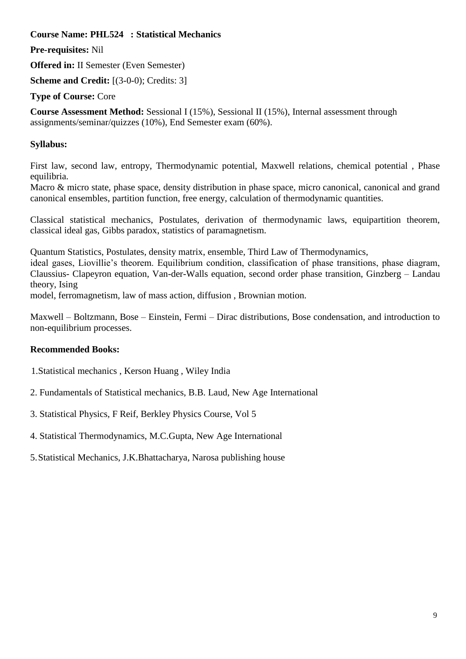**Course Name: PHL524 : Statistical Mechanics**

**Pre-requisites:** Nil

**Offered in:** II Semester (Even Semester)

**Scheme and Credit:** [(3-0-0); Credits: 3]

**Type of Course:** Core

**Course Assessment Method:** Sessional I (15%), Sessional II (15%), Internal assessment through assignments/seminar/quizzes (10%), End Semester exam (60%).

## **Syllabus:**

First law, second law, entropy, Thermodynamic potential, Maxwell relations, chemical potential , Phase equilibria.

Macro & micro state, phase space, density distribution in phase space, micro canonical, canonical and grand canonical ensembles, partition function, free energy, calculation of thermodynamic quantities.

Classical statistical mechanics, Postulates, derivation of thermodynamic laws, equipartition theorem, classical ideal gas, Gibbs paradox, statistics of paramagnetism.

Quantum Statistics, Postulates, density matrix, ensemble, Third Law of Thermodynamics,

ideal gases, Liovillie's theorem. Equilibrium condition, classification of phase transitions, phase diagram, Claussius- Clapeyron equation, Van-der-Walls equation, second order phase transition, Ginzberg – Landau theory, Ising

model, ferromagnetism, law of mass action, diffusion , Brownian motion.

Maxwell – Boltzmann, Bose – Einstein, Fermi – Dirac distributions, Bose condensation, and introduction to non-equilibrium processes.

## **Recommended Books:**

- 1.Statistical mechanics , Kerson Huang , Wiley India
- 2. Fundamentals of Statistical mechanics, B.B. Laud, New Age International
- 3. Statistical Physics, F Reif, Berkley Physics Course, Vol 5
- 4. Statistical Thermodynamics, M.C.Gupta, New Age International
- 5.Statistical Mechanics, J.K.Bhattacharya, Narosa publishing house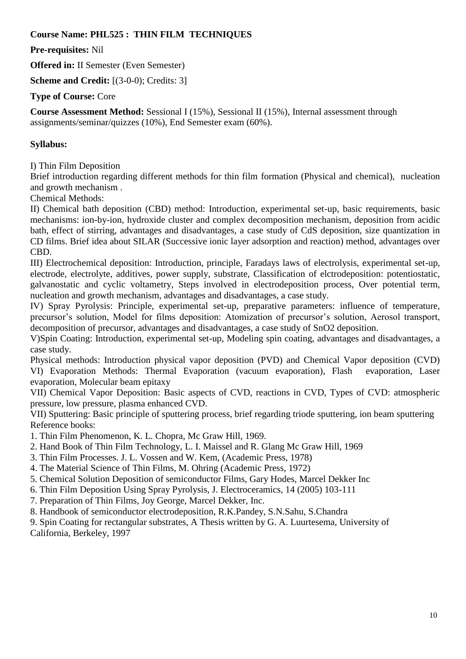#### **Course Name: PHL525 : THIN FILM TECHNIQUES**

**Pre-requisites:** Nil

**Offered in:** II Semester (Even Semester)

**Scheme and Credit:** [(3-0-0); Credits: 3]

**Type of Course:** Core

**Course Assessment Method:** Sessional I (15%), Sessional II (15%), Internal assessment through assignments/seminar/quizzes (10%), End Semester exam (60%).

## **Syllabus:**

I) Thin Film Deposition

Brief introduction regarding different methods for thin film formation (Physical and chemical), nucleation and growth mechanism .

Chemical Methods:

II) Chemical bath deposition (CBD) method: Introduction, experimental set-up, basic requirements, basic mechanisms: ion-by-ion, hydroxide cluster and complex decomposition mechanism, deposition from acidic bath, effect of stirring, advantages and disadvantages, a case study of CdS deposition, size quantization in CD films. Brief idea about SILAR (Successive ionic layer adsorption and reaction) method, advantages over CBD.

III) Electrochemical deposition: Introduction, principle, Faradays laws of electrolysis, experimental set-up, electrode, electrolyte, additives, power supply, substrate, Classification of elctrodeposition: potentiostatic, galvanostatic and cyclic voltametry, Steps involved in electrodeposition process, Over potential term, nucleation and growth mechanism, advantages and disadvantages, a case study.

IV) Spray Pyrolysis: Principle, experimental set-up, preparative parameters: influence of temperature, precursor's solution, Model for films deposition: Atomization of precursor's solution, Aerosol transport, decomposition of precursor, advantages and disadvantages, a case study of SnO2 deposition.

V)Spin Coating: Introduction, experimental set-up, Modeling spin coating, advantages and disadvantages, a case study.

Physical methods: Introduction physical vapor deposition (PVD) and Chemical Vapor deposition (CVD) VI) Evaporation Methods: Thermal Evaporation (vacuum evaporation), Flash evaporation, Laser evaporation, Molecular beam epitaxy

VII) Chemical Vapor Deposition: Basic aspects of CVD, reactions in CVD, Types of CVD: atmospheric pressure, low pressure, plasma enhanced CVD.

VII) Sputtering: Basic principle of sputtering process, brief regarding triode sputtering, ion beam sputtering Reference books:

1. Thin Film Phenomenon, K. L. Chopra, Mc Graw Hill, 1969.

- 2. Hand Book of Thin Film Technology, L. I. Maissel and R. Glang Mc Graw Hill, 1969
- 3. Thin Film Processes. J. L. Vossen and W. Kem, (Academic Press, 1978)
- 4. The Material Science of Thin Films, M. Ohring (Academic Press, 1972)
- 5. Chemical Solution Deposition of semiconductor Films, Gary Hodes, Marcel Dekker Inc
- 6. Thin Film Deposition Using Spray Pyrolysis, J. Electroceramics, 14 (2005) 103-111
- 7. Preparation of Thin Films, Joy George, Marcel Dekker, Inc.
- 8. Handbook of semiconductor electrodeposition, R.K.Pandey, S.N.Sahu, S.Chandra

9. Spin Coating for rectangular substrates, A Thesis written by G. A. Luurtesema, University of California, Berkeley, 1997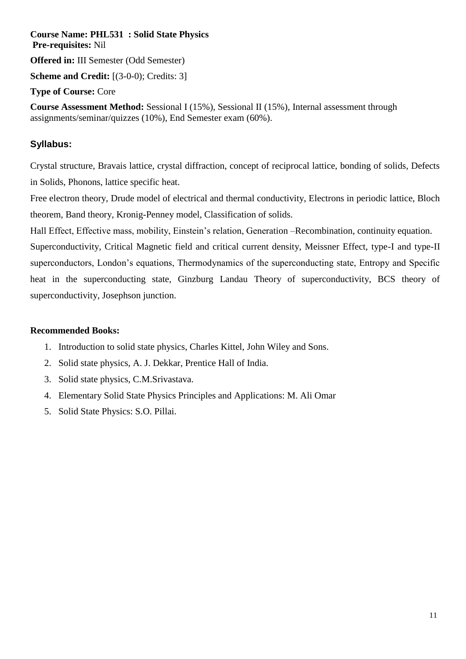**Course Name: PHL531 : Solid State Physics Pre-requisites:** Nil **Offered in:** III Semester (Odd Semester) **Scheme and Credit:** [(3-0-0); Credits: 3] **Type of Course:** Core

**Course Assessment Method:** Sessional I (15%), Sessional II (15%), Internal assessment through assignments/seminar/quizzes (10%), End Semester exam (60%).

## **Syllabus:**

Crystal structure, Bravais lattice, crystal diffraction, concept of reciprocal lattice, bonding of solids, Defects in Solids, Phonons, lattice specific heat.

Free electron theory, Drude model of electrical and thermal conductivity, Electrons in periodic lattice, Bloch theorem, Band theory, Kronig-Penney model, Classification of solids.

Hall Effect, Effective mass, mobility, Einstein's relation, Generation –Recombination, continuity equation.

Superconductivity, Critical Magnetic field and critical current density, Meissner Effect, type-I and type-II superconductors, London's equations, Thermodynamics of the superconducting state, Entropy and Specific heat in the superconducting state, Ginzburg Landau Theory of superconductivity, BCS theory of superconductivity, Josephson junction.

#### **Recommended Books:**

- 1. Introduction to solid state physics, Charles Kittel, John Wiley and Sons.
- 2. Solid state physics, A. J. Dekkar, Prentice Hall of India.
- 3. Solid state physics, C.M.Srivastava.
- 4. Elementary Solid State Physics Principles and Applications: M. Ali Omar
- 5. Solid State Physics: S.O. Pillai.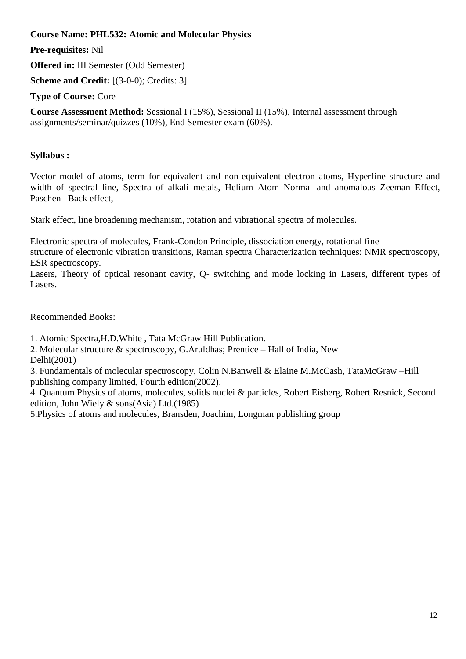**Course Name: PHL532: Atomic and Molecular Physics** 

**Pre-requisites:** Nil

**Offered in:** III Semester (Odd Semester)

**Scheme and Credit:** [(3-0-0); Credits: 3]

**Type of Course:** Core

**Course Assessment Method:** Sessional I (15%), Sessional II (15%), Internal assessment through assignments/seminar/quizzes (10%), End Semester exam (60%).

## **Syllabus :**

Vector model of atoms, term for equivalent and non-equivalent electron atoms, Hyperfine structure and width of spectral line, Spectra of alkali metals, Helium Atom Normal and anomalous Zeeman Effect, Paschen –Back effect,

Stark effect, line broadening mechanism, rotation and vibrational spectra of molecules.

Electronic spectra of molecules, Frank-Condon Principle, dissociation energy, rotational fine structure of electronic vibration transitions, Raman spectra Characterization techniques: NMR spectroscopy, ESR spectroscopy.

Lasers, Theory of optical resonant cavity, Q- switching and mode locking in Lasers, different types of Lasers.

Recommended Books:

1. Atomic Spectra,H.D.White , Tata McGraw Hill Publication.

2. Molecular structure & spectroscopy, G.Aruldhas; Prentice – Hall of India, New Delhi(2001)

3. Fundamentals of molecular spectroscopy, Colin N.Banwell & Elaine M.McCash, TataMcGraw –Hill publishing company limited, Fourth edition(2002).

4. Quantum Physics of atoms, molecules, solids nuclei & particles, Robert Eisberg, Robert Resnick, Second edition, John Wiely & sons(Asia) Ltd.(1985)

5.Physics of atoms and molecules, Bransden, Joachim, Longman publishing group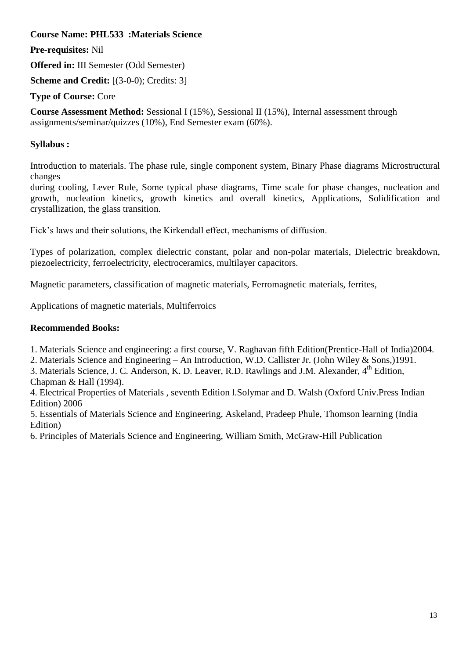**Course Name: PHL533 :Materials Science**

**Pre-requisites:** Nil

**Offered in:** III Semester (Odd Semester)

**Scheme and Credit:** [(3-0-0); Credits: 3]

**Type of Course:** Core

**Course Assessment Method:** Sessional I (15%), Sessional II (15%), Internal assessment through assignments/seminar/quizzes (10%), End Semester exam (60%).

## **Syllabus :**

Introduction to materials. The phase rule, single component system, Binary Phase diagrams Microstructural changes

during cooling, Lever Rule, Some typical phase diagrams, Time scale for phase changes, nucleation and growth, nucleation kinetics, growth kinetics and overall kinetics, Applications, Solidification and crystallization, the glass transition.

Fick's laws and their solutions, the Kirkendall effect, mechanisms of diffusion.

Types of polarization, complex dielectric constant, polar and non-polar materials, Dielectric breakdown, piezoelectricity, ferroelectricity, electroceramics, multilayer capacitors.

Magnetic parameters, classification of magnetic materials, Ferromagnetic materials, ferrites,

Applications of magnetic materials, Multiferroics

### **Recommended Books:**

1. Materials Science and engineering: a first course, V. Raghavan fifth Edition(Prentice-Hall of India)2004.

2. Materials Science and Engineering – An Introduction, W.D. Callister Jr. (John Wiley & Sons,)1991.

3. Materials Science, J. C. Anderson, K. D. Leaver, R.D. Rawlings and J.M. Alexander, 4<sup>th</sup> Edition, Chapman & Hall (1994).

4. Electrical Properties of Materials , seventh Edition l.Solymar and D. Walsh (Oxford Univ.Press Indian Edition) 2006

5. Essentials of Materials Science and Engineering, Askeland, Pradeep Phule, Thomson learning (India Edition)

6. Principles of Materials Science and Engineering, William Smith, McGraw-Hill Publication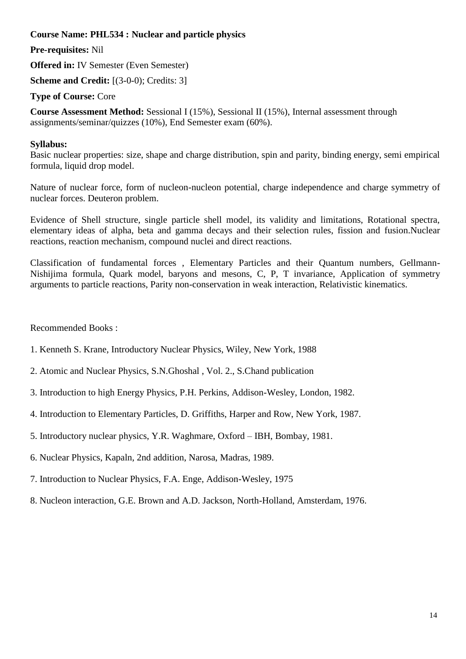#### **Course Name: PHL534 : Nuclear and particle physics**

**Pre-requisites:** Nil

**Offered in:** IV Semester (Even Semester)

**Scheme and Credit:** [(3-0-0); Credits: 3]

**Type of Course:** Core

**Course Assessment Method:** Sessional I (15%), Sessional II (15%), Internal assessment through assignments/seminar/quizzes (10%), End Semester exam (60%).

#### **Syllabus:**

Basic nuclear properties: size, shape and charge distribution, spin and parity, binding energy, semi empirical formula, liquid drop model.

Nature of nuclear force, form of nucleon-nucleon potential, charge independence and charge symmetry of nuclear forces. Deuteron problem.

Evidence of Shell structure, single particle shell model, its validity and limitations, Rotational spectra, elementary ideas of alpha, beta and gamma decays and their selection rules, fission and fusion.Nuclear reactions, reaction mechanism, compound nuclei and direct reactions.

Classification of fundamental forces , Elementary Particles and their Quantum numbers, Gellmann-Nishijima formula, Quark model, baryons and mesons, C, P, T invariance, Application of symmetry arguments to particle reactions, Parity non-conservation in weak interaction, Relativistic kinematics.

Recommended Books :

- 1. Kenneth S. Krane, Introductory Nuclear Physics, Wiley, New York, 1988
- 2. Atomic and Nuclear Physics, S.N.Ghoshal , Vol. 2., S.Chand publication
- 3. Introduction to high Energy Physics, P.H. Perkins, Addison-Wesley, London, 1982.
- 4. Introduction to Elementary Particles, D. Griffiths, Harper and Row, New York, 1987.
- 5. Introductory nuclear physics, Y.R. Waghmare, Oxford IBH, Bombay, 1981.
- 6. Nuclear Physics, Kapaln, 2nd addition, Narosa, Madras, 1989.
- 7. Introduction to Nuclear Physics, F.A. Enge, Addison-Wesley, 1975
- 8. Nucleon interaction, G.E. Brown and A.D. Jackson, North-Holland, Amsterdam, 1976.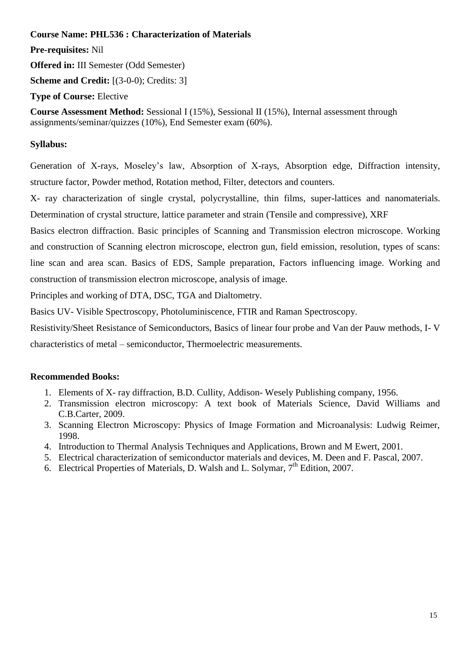**Course Name: PHL536 : Characterization of Materials** 

**Pre-requisites:** Nil

**Offered in:** III Semester (Odd Semester)

**Scheme and Credit:** [(3-0-0); Credits: 3]

**Type of Course:** Elective

**Course Assessment Method:** Sessional I (15%), Sessional II (15%), Internal assessment through assignments/seminar/quizzes (10%), End Semester exam (60%).

## **Syllabus:**

Generation of X-rays, Moseley's law, Absorption of X-rays, Absorption edge, Diffraction intensity, structure factor, Powder method, Rotation method, Filter, detectors and counters.

X- ray characterization of single crystal, polycrystalline, thin films, super-lattices and nanomaterials. Determination of crystal structure, lattice parameter and strain (Tensile and compressive), XRF

Basics electron diffraction. Basic principles of Scanning and Transmission electron microscope. Working and construction of Scanning electron microscope, electron gun, field emission, resolution, types of scans: line scan and area scan. Basics of EDS, Sample preparation, Factors influencing image. Working and construction of transmission electron microscope, analysis of image.

Principles and working of DTA, DSC, TGA and Dialtometry.

Basics UV- Visible Spectroscopy, Photoluminiscence, FTIR and Raman Spectroscopy.

Resistivity/Sheet Resistance of Semiconductors, Basics of linear four probe and Van der Pauw methods, I- V

characteristics of metal – semiconductor, Thermoelectric measurements.

## **Recommended Books:**

- 1. Elements of X- ray diffraction, B.D. Cullity, Addison- Wesely Publishing company, 1956.
- 2. Transmission electron microscopy: A text book of Materials Science, David Williams and C.B.Carter, 2009.
- 3. Scanning Electron Microscopy: Physics of Image Formation and Microanalysis: Ludwig Reimer, 1998.
- 4. Introduction to Thermal Analysis Techniques and Applications, Brown and M Ewert, 2001.
- 5. Electrical characterization of semiconductor materials and devices, M. Deen and F. Pascal, 2007.
- 6. Electrical Properties of Materials, D. Walsh and L. Solymar, 7th Edition, 2007.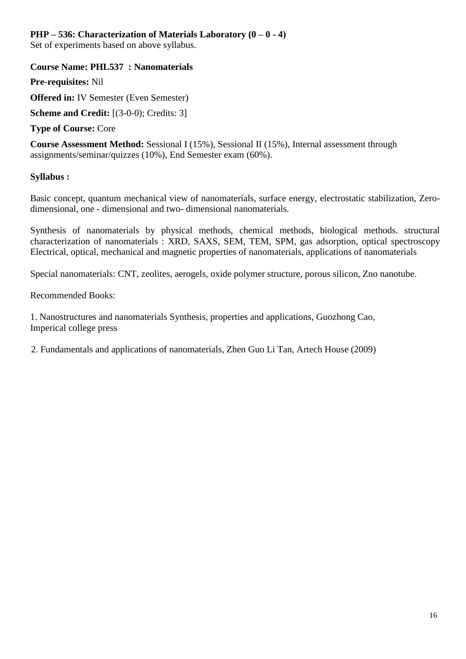#### **PHP – 536: Characterization of Materials Laboratory (0 – 0 - 4)**

Set of experiments based on above syllabus.

#### **Course Name: PHL537 : Nanomaterials**

**Pre-requisites:** Nil

**Offered in:** IV Semester (Even Semester)

**Scheme and Credit:** [(3-0-0); Credits: 3]

**Type of Course:** Core

**Course Assessment Method:** Sessional I (15%), Sessional II (15%), Internal assessment through assignments/seminar/quizzes (10%), End Semester exam (60%).

#### **Syllabus :**

Basic concept, quantum mechanical view of nanomaterials, surface energy, electrostatic stabilization, Zerodimensional, one - dimensional and two- dimensional nanomaterials.

Synthesis of nanomaterials by physical methods, chemical methods, biological methods. structural characterization of nanomaterials : XRD, SAXS, SEM, TEM, SPM, gas adsorption, optical spectroscopy Electrical, optical, mechanical and magnetic properties of nanomaterials, applications of nanomaterials

Special nanomaterials: CNT, zeolites, aerogels, oxide polymer structure, porous silicon, Zno nanotube.

Recommended Books:

1. Nanostructures and nanomaterials Synthesis, properties and applications, Guozhong Cao, Imperical college press

2. Fundamentals and applications of nanomaterials, Zhen Guo Li Tan, Artech House (2009)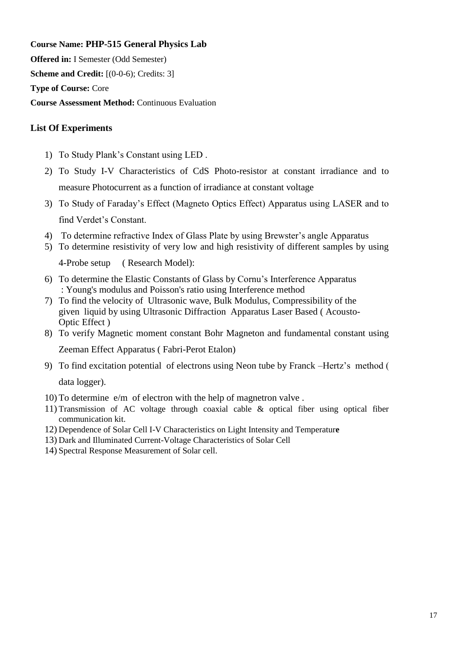**Course Name: PHP-515 General Physics Lab**

**Offered in:** I Semester (Odd Semester)

**Scheme and Credit:** [(0-0-6); Credits: 3]

**Type of Course:** Core

**Course Assessment Method:** Continuous Evaluation

#### **List Of Experiments**

- 1) To Study Plank's Constant using LED .
- 2) To Study I-V Characteristics of CdS Photo-resistor at constant irradiance and to measure Photocurrent as a function of irradiance at constant voltage
- 3) To Study of Faraday's Effect (Magneto Optics Effect) Apparatus using LASER and to find Verdet's Constant.
- 4) To determine refractive Index of Glass Plate by using Brewster's angle Apparatus
- 5) To determine resistivity of very low and high resistivity of different samples by using

4-Probe setup ( Research Model):

- 6) To determine the Elastic Constants of Glass by Cornu's Interference Apparatus : Young's modulus and Poisson's ratio using Interference method
- 7) To find the velocity of Ultrasonic wave, Bulk Modulus, Compressibility of the given liquid by using Ultrasonic Diffraction Apparatus Laser Based ( Acousto-Optic Effect )
- 8) To verify Magnetic moment constant Bohr Magneton and fundamental constant using Zeeman Effect Apparatus ( Fabri-Perot Etalon)
- 9) To find excitation potential of electrons using Neon tube by Franck –Hertz's method (

data logger).

- 10) To determine e/m of electron with the help of magnetron valve .
- 11) Transmission of AC voltage through coaxial cable & optical fiber using optical fiber communication kit.
- 12) Dependence of Solar Cell I-V Characteristics on Light Intensity and Temperatur**e**
- 13) Dark and Illuminated Current-Voltage Characteristics of Solar Cell
- 14) Spectral Response Measurement of Solar cell.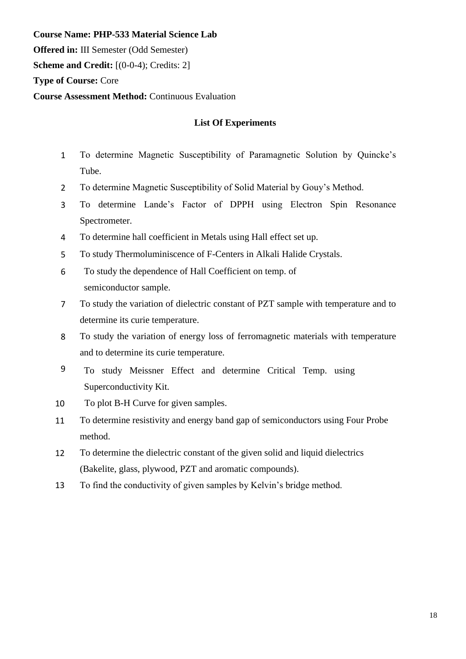**Course Name: PHP-533 Material Science Lab Offered in:** III Semester (Odd Semester) **Scheme and Credit:** [(0-0-4); Credits: 2] **Type of Course:** Core **Course Assessment Method:** Continuous Evaluation

#### **List Of Experiments**

- 1 To determine Magnetic Susceptibility of Paramagnetic Solution by Quincke's Tube.
- 2 To determine Magnetic Susceptibility of Solid Material by Gouy's Method.
- 3 To determine Lande's Factor of DPPH using Electron Spin Resonance Spectrometer.
- 4 To determine hall coefficient in Metals using Hall effect set up.
- 5 To study Thermoluminiscence of F-Centers in Alkali Halide Crystals.
- 6 To study the dependence of Hall Coefficient on temp. of semiconductor sample.
- 7 To study the variation of dielectric constant of PZT sample with temperature and to determine its curie temperature.
- 8 To study the variation of energy loss of ferromagnetic materials with temperature and to determine its curie temperature.
- 9 To study Meissner Effect and determine Critical Temp. using Superconductivity Kit.
- 10 To plot B-H Curve for given samples.
- 11 To determine resistivity and energy band gap of semiconductors using Four Probe method.
- 12 To determine the dielectric constant of the given solid and liquid dielectrics (Bakelite, glass, plywood, PZT and aromatic compounds).
- 13 To find the conductivity of given samples by Kelvin's bridge method.